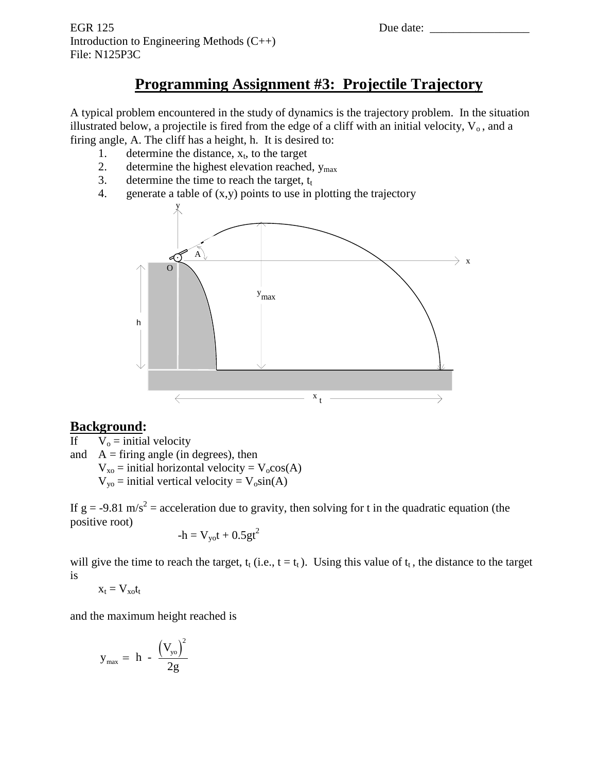# **Programming Assignment #3: Projectile Trajectory**

A typical problem encountered in the study of dynamics is the trajectory problem. In the situation illustrated below, a projectile is fired from the edge of a cliff with an initial velocity,  $V_0$ , and a firing angle, A. The cliff has a height, h. It is desired to:

- 1. determine the distance,  $x_t$ , to the target
- 2. determine the highest elevation reached,  $y_{\text{max}}$
- 3. determine the time to reach the target,  $t_t$
- 4. generate a table of  $(x,y)$  points to use in plotting the trajectory



# **Background:**

If  $V_0 = \text{initial velocity}$ 

and  $A =$  firing angle (in degrees), then

 $V_{xo}$  = initial horizontal velocity =  $V_{o}cos(A)$ 

 $V_{yo}$  = initial vertical velocity =  $V_o\sin(A)$ 

If  $g = -9.81$  m/s<sup>2</sup> = acceleration due to gravity, then solving for t in the quadratic equation (the positive root)

$$
-h = V_{yo}t + 0.5gt^2
$$

will give the time to reach the target,  $t_t$  (i.e.,  $t = t_t$ ). Using this value of  $t_t$ , the distance to the target is

$$
x_t = V_{xo}t_t
$$

and the maximum height reached is

$$
y_{\text{max}} = \ h \ - \ \frac{\left(V_{\text{yo}}\right)^2}{2g}
$$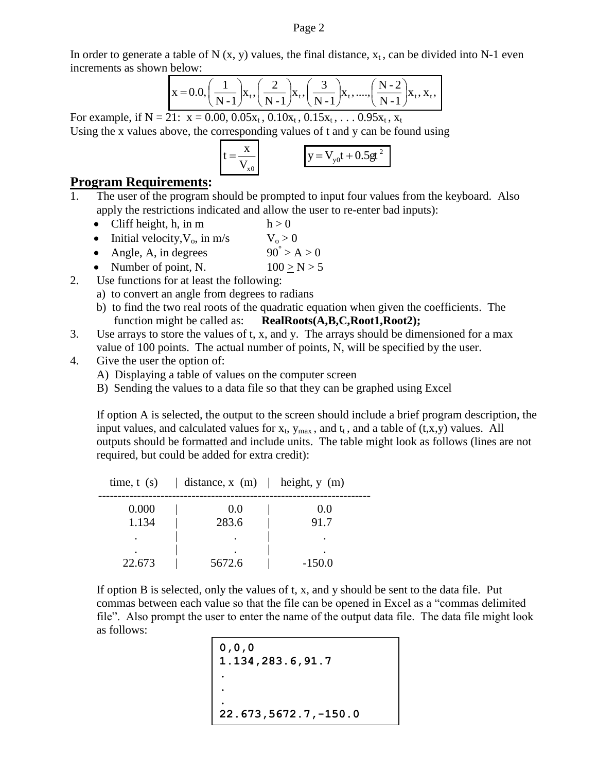In order to generate a table of N  $(x, y)$  values, the final distance,  $x_t$ , can be divided into N-1 even increments as shown below:

$$
x = 0.0, \left(\frac{1}{N-1}\right) x_{t}, \left(\frac{2}{N-1}\right) x_{t}, \left(\frac{3}{N-1}\right) x_{t}, \dots, \left(\frac{N-2}{N-1}\right) x_{t}, x_{t},
$$

For example, if  $N = 21$ :  $x = 0.00, 0.05x_t, 0.10x_t, 0.15x_t, ... 0.95x_t, x_t$ Using the x values above, the corresponding values of t and y can be found using

$$
t = \frac{x}{V_{x0}}
$$
  $y = V_{y0}t + 0.5gt^{2}$ 

### **Program Requirements:**

- 1. The user of the program should be prompted to input four values from the keyboard. Also apply the restrictions indicated and allow the user to re-enter bad inputs):
	- Cliff height, h, in m  $h > 0$
	- Initial velocity,  $V_0$ , in m/s  $V_0 > 0$
	- Angle, A, in degrees  $90^{\degree} > A > 0$
	- Number of point, N.  $100 > N > 5$
- 2. Use functions for at least the following:
	- a) to convert an angle from degrees to radians
	- b) to find the two real roots of the quadratic equation when given the coefficients. The function might be called as: **RealRoots(A,B,C,Root1,Root2);**
- 3. Use arrays to store the values of t, x, and y. The arrays should be dimensioned for a max value of 100 points. The actual number of points, N, will be specified by the user.
- 4. Give the user the option of:
	- A) Displaying a table of values on the computer screen
	- B) Sending the values to a data file so that they can be graphed using Excel

If option A is selected, the output to the screen should include a brief program description, the input values, and calculated values for  $x_t$ ,  $y_{max}$ , and  $t_t$ , and a table of  $(t, x, y)$  values. All outputs should be formatted and include units. The table might look as follows (lines are not required, but could be added for extra credit):

|        | time, t (s) $\vert$ distance, x (m) $\vert$ height, y (m) |          |
|--------|-----------------------------------------------------------|----------|
| 0.000  | 0.0                                                       | 0.0      |
| 1.134  | 283.6                                                     | 91.7     |
|        |                                                           |          |
| 22.673 | 5672.6                                                    | $-150.0$ |

If option B is selected, only the values of t, x, and y should be sent to the data file. Put commas between each value so that the file can be opened in Excel as a "commas delimited file". Also prompt the user to enter the name of the output data file. The data file might look as follows:

```
0,0,0
1.134,283.6,91.7
.
.
.
22.673,5672.7,-150.0
```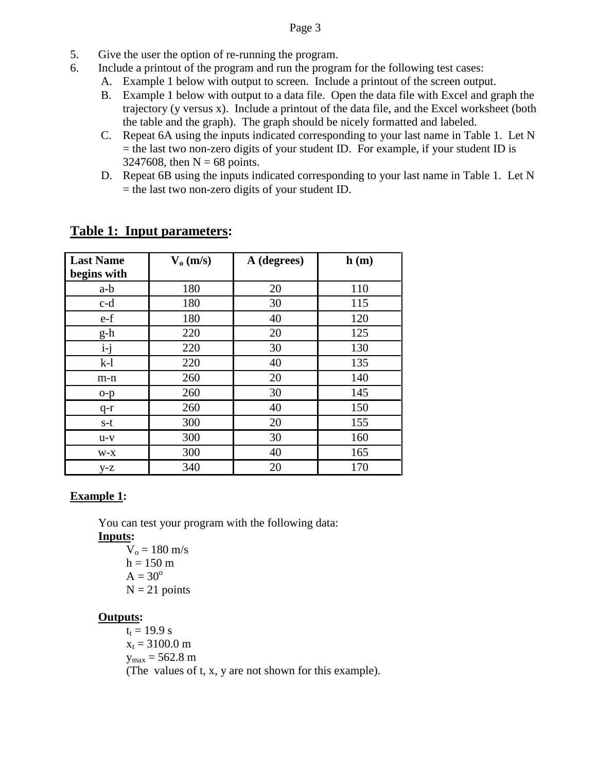#### Page 3

- 5. Give the user the option of re-running the program.
- 6. Include a printout of the program and run the program for the following test cases:
	- A. Example 1 below with output to screen. Include a printout of the screen output.
		- B. Example 1 below with output to a data file. Open the data file with Excel and graph the trajectory (y versus x). Include a printout of the data file, and the Excel worksheet (both the table and the graph). The graph should be nicely formatted and labeled.
		- C. Repeat 6A using the inputs indicated corresponding to your last name in Table 1. Let N  $=$  the last two non-zero digits of your student ID. For example, if your student ID is 3247608, then  $N = 68$  points.
		- D. Repeat 6B using the inputs indicated corresponding to your last name in Table 1. Let N = the last two non-zero digits of your student ID.

| <b>Last Name</b><br>begins with | $V_0$ (m/s) | A (degrees) | h(m) |
|---------------------------------|-------------|-------------|------|
| a-b                             | 180         | 20          | 110  |
| $c-d$                           | 180         | 30          | 115  |
| e-f                             | 180         | 40          | 120  |
| g-h                             | 220         | 20          | 125  |
| $i-j$                           | 220         | 30          | 130  |
| $k-1$                           | 220         | 40          | 135  |
| m-n                             | 260         | 20          | 140  |
| $o-p$                           | 260         | 30          | 145  |
| $q-r$                           | 260         | 40          | 150  |
| $s-t$                           | 300         | 20          | 155  |
| $u-v$                           | 300         | 30          | 160  |
| $W-X$                           | 300         | 40          | 165  |
| $y-z$                           | 340         | 20          | 170  |

# **Table 1: Input parameters:**

## **Example 1:**

You can test your program with the following data:

**Inputs:**

 $V_0 = 180$  m/s  $h = 150$  m  $A = 30^{\circ}$  $N = 21$  points

#### **Outputs:**

 $t_t = 19.9 s$  $x_t = 3100.0$  m  $y_{\text{max}} = 562.8 \text{ m}$ (The values of t, x, y are not shown for this example).